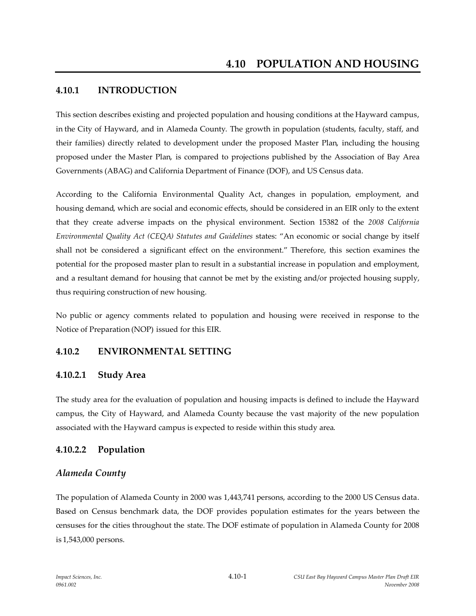#### **4.10.1 INTRODUCTION**

This section describes existing and projected population and housing conditions at the Hayward campus, in the City of Hayward, and in Alameda County. The growth in population (students, faculty, staff, and their families) directly related to development under the proposed Master Plan, including the housing proposed under the Master Plan, is compared to projections published by the Association of Bay Area Governments (ABAG) and California Department of Finance (DOF), and US Census data.

According to the California Environmental Quality Act, changes in population, employment, and housing demand, which are social and economic effects, should be considered in an EIR only to the extent that they create adverse impacts on the physical environment. Section 15382 of the *2008 California Environmental Quality Act (CEQA) Statutes and Guidelines* states: "An economic or social change by itself shall not be considered a significant effect on the environment." Therefore, this section examines the potential for the proposed master plan to result in a substantial increase in population and employment, and a resultant demand for housing that cannot be met by the existing and/or projected housing supply, thus requiring construction of new housing.

No public or agency comments related to population and housing were received in response to the Notice of Preparation (NOP) issued for this EIR.

#### **4.10.2 ENVIRONMENTAL SETTING**

#### **4.10.2.1 Study Area**

The study area for the evaluation of population and housing impacts is defined to include the Hayward campus, the City of Hayward, and Alameda County because the vast majority of the new population associated with the Hayward campus is expected to reside within this study area.

#### **4.10.2.2 Population**

#### *Alameda County*

The population of Alameda County in 2000 was 1,443,741 persons, according to the 2000 US Census data. Based on Census benchmark data, the DOF provides population estimates for the years between the censuses for the cities throughout the state. The DOF estimate of population in Alameda County for 2008 is 1,543,000 persons.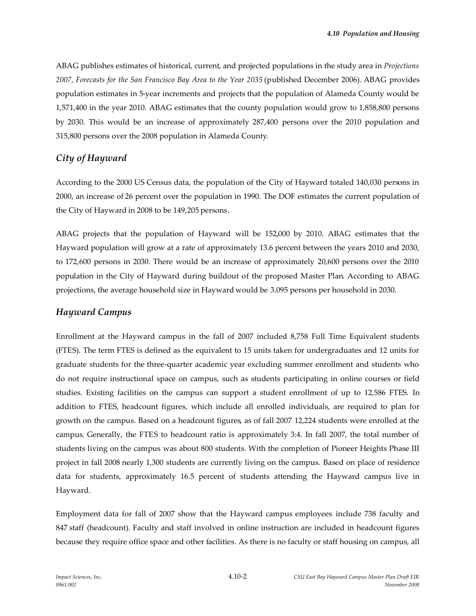ABAG publishes estimates of historical, current, and projected populations in the study area in *Projections 2007, Forecasts for the San Francisco Bay Area to the Year 2035* (published December 2006). ABAG provides population estimates in 5-year increments and projects that the population of Alameda County would be 1,571,400 in the year 2010. ABAG estimates that the county population would grow to 1,858,800 persons by 2030. This would be an increase of approximately 287,400 persons over the 2010 population and 315,800 persons over the 2008 population in Alameda County.

### *City of Hayward*

According to the 2000 US Census data, the population of the City of Hayward totaled 140,030 persons in 2000, an increase of 26 percent over the population in 1990. The DOF estimates the current population of the City of Hayward in 2008 to be 149,205 persons.

ABAG projects that the population of Hayward will be 152,000 by 2010. ABAG estimates that the Hayward population will grow at a rate of approximately 13.6 percent between the years 2010 and 2030, to 172,600 persons in 2030. There would be an increase of approximately 20,600 persons over the 2010 population in the City of Hayward during buildout of the proposed Master Plan. According to ABAG projections, the average household size in Hayward would be 3.095 persons per household in 2030.

#### *Hayward Campus*

Enrollment at the Hayward campus in the fall of 2007 included 8,758 Full Time Equivalent students (FTES). The term FTES is defined as the equivalent to 15 units taken for undergraduates and 12 units for graduate students for the three-quarter academic year excluding summer enrollment and students who do not require instructional space on campus, such as students participating in online courses or field studies. Existing facilities on the campus can support a student enrollment of up to 12,586 FTES. In addition to FTES, headcount figures, which include all enrolled individuals, are required to plan for growth on the campus. Based on a headcount figures, as of fall 2007 12,224 students were enrolled at the campus. Generally, the FTES to headcount ratio is approximately 3:4. In fall 2007, the total number of students living on the campus was about 800 students. With the completion of Pioneer Heights Phase III project in fall 2008 nearly 1,300 students are currently living on the campus. Based on place of residence data for students, approximately 16.5 percent of students attending the Hayward campus live in Hayward.

Employment data for fall of 2007 show that the Hayward campus employees include 738 faculty and 847 staff (headcount). Faculty and staff involved in online instruction are included in headcount figures because they require office space and other facilities. As there is no faculty or staff housing on campus, all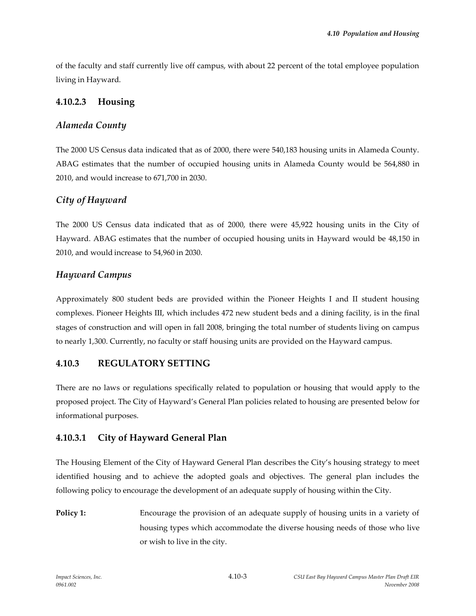of the faculty and staff currently live off campus, with about 22 percent of the total employee population living in Hayward.

## **4.10.2.3 Housing**

## *Alameda County*

The 2000 US Census data indicated that as of 2000, there were 540,183 housing units in Alameda County. ABAG estimates that the number of occupied housing units in Alameda County would be 564,880 in 2010, and would increase to 671,700 in 2030.

# *City of Hayward*

The 2000 US Census data indicated that as of 2000, there were 45,922 housing units in the City of Hayward. ABAG estimates that the number of occupied housing units in Hayward would be 48,150 in 2010, and would increase to 54,960 in 2030.

## *Hayward Campus*

Approximately 800 student beds are provided within the Pioneer Heights I and II student housing complexes. Pioneer Heights III, which includes 472 new student beds and a dining facility, is in the final stages of construction and will open in fall 2008, bringing the total number of students living on campus to nearly 1,300. Currently, no faculty or staff housing units are provided on the Hayward campus.

# **4.10.3 REGULATORY SETTING**

There are no laws or regulations specifically related to population or housing that would apply to the proposed project. The City of Hayward's General Plan policies related to housing are presented below for informational purposes.

## **4.10.3.1 City of Hayward General Plan**

The Housing Element of the City of Hayward General Plan describes the City's housing strategy to meet identified housing and to achieve the adopted goals and objectives. The general plan includes the following policy to encourage the development of an adequate supply of housing within the City.

**Policy 1:** Encourage the provision of an adequate supply of housing units in a variety of housing types which accommodate the diverse housing needs of those who live or wish to live in the city.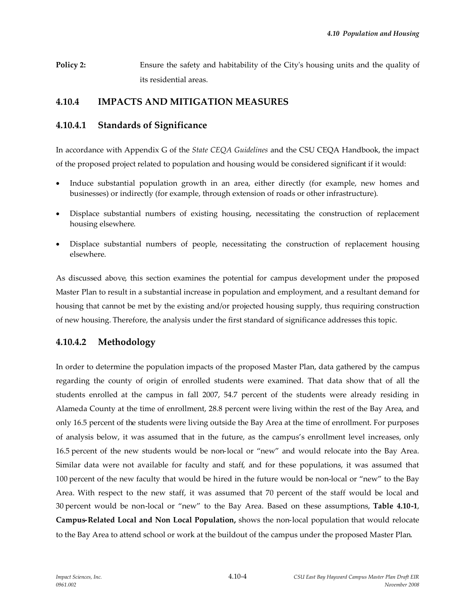**Policy 2:** Ensure the safety and habitability of the City's housing units and the quality of its residential areas.

## **4.10.4 IMPACTS AND MITIGATION MEASURES**

### **4.10.4.1 Standards of Significance**

In accordance with Appendix G of the *State CEQA Guidelines* and the CSU CEQA Handbook, the impact of the proposed project related to population and housing would be considered significant if it would:

- Induce substantial population growth in an area, either directly (for example, new homes and businesses) or indirectly (for example, through extension of roads or other infrastructure).
- Displace substantial numbers of existing housing, necessitating the construction of replacement housing elsewhere.
- Displace substantial numbers of people, necessitating the construction of replacement housing elsewhere.

As discussed above, this section examines the potential for campus development under the proposed Master Plan to result in a substantial increase in population and employment, and a resultant demand for housing that cannot be met by the existing and/or projected housing supply, thus requiring construction of new housing. Therefore, the analysis under the first standard of significance addresses this topic.

## **4.10.4.2 Methodology**

In order to determine the population impacts of the proposed Master Plan, data gathered by the campus regarding the county of origin of enrolled students were examined. That data show that of all the students enrolled at the campus in fall 2007, 54.7 percent of the students were already residing in Alameda County at the time of enrollment, 28.8 percent were living within the rest of the Bay Area, and only 16.5 percent of the students were living outside the Bay Area at the time of enrollment. For purposes of analysis below, it was assumed that in the future, as the campus's enrollment level increases, only 16.5 percent of the new students would be non-local or "new" and would relocate into the Bay Area. Similar data were not available for faculty and staff, and for these populations, it was assumed that 100 percent of the new faculty that would be hired in the future would be non-local or "new" to the Bay Area. With respect to the new staff, it was assumed that 70 percent of the staff would be local and 30 percent would be non-local or "new" to the Bay Area. Based on these assumptions, **Table 4.10-1**, **Campus-Related Local and Non Local Population,** shows the non-local population that would relocate to the Bay Area to attend school or work at the buildout of the campus under the proposed Master Plan.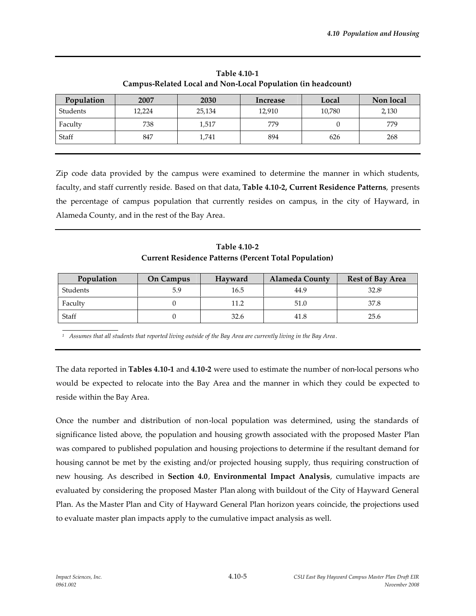| Campus-Related Local and Ivon-Local I opulation (in headcount) |        |        |          |        |           |  |  |  |  |
|----------------------------------------------------------------|--------|--------|----------|--------|-----------|--|--|--|--|
| Population                                                     | 2007   | 2030   | Increase | Local  | Non local |  |  |  |  |
| Students                                                       | 12,224 | 25,134 | 12,910   | 10,780 | 2,130     |  |  |  |  |
| Faculty                                                        | 738    | 1,517  | 779      |        | 779       |  |  |  |  |
| Staff                                                          | 847    | 1,741  | 894      | 626    | 268       |  |  |  |  |

**Table 4.10-1 Campus-Related Local and Non-Local Population (in headcount)**

Zip code data provided by the campus were examined to determine the manner in which students, faculty, and staff currently reside. Based on that data, **Table 4.10-2, Current Residence Patterns**, presents the percentage of campus population that currently resides on campus, in the city of Hayward, in Alameda County, and in the rest of the Bay Area.

**Table 4.10-2 Current Residence Patterns (Percent Total Population)**

| Population | <b>On Campus</b><br>Hayward |      | <b>Alameda County</b> | <b>Rest of Bay Area</b> |  |
|------------|-----------------------------|------|-----------------------|-------------------------|--|
| Students   | 5.9                         | 16.5 | 44.9                  | 32.8 <sup>1</sup>       |  |
| Faculty    |                             | 11.2 | 51.0                  | 37.8                    |  |
| Staff      |                             | 32.6 | 41.8                  | 25.6                    |  |

*<sup>1</sup> Assumes that all students that reported living outside of the Bay Area are currently living in the Bay Area .*

The data reported in **Tables 4.10-1** and **4.10-2** were used to estimate the number of non-local persons who would be expected to relocate into the Bay Area and the manner in which they could be expected to reside within the Bay Area.

Once the number and distribution of non-local population was determined, using the standards of significance listed above, the population and housing growth associated with the proposed Master Plan was compared to published population and housing projections to determine if the resultant demand for housing cannot be met by the existing and/or projected housing supply, thus requiring construction of new housing. As described in **Section 4.0**, **Environmental Impact Analysis**, cumulative impacts are evaluated by considering the proposed Master Plan along with buildout of the City of Hayward General Plan. As the Master Plan and City of Hayward General Plan horizon years coincide, the projections used to evaluate master plan impacts apply to the cumulative impact analysis as well.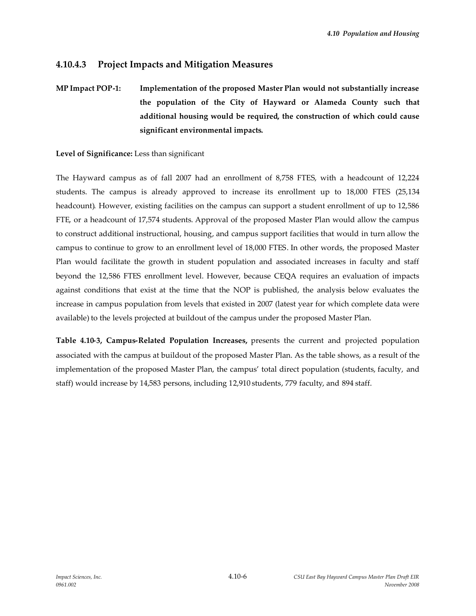## **4.10.4.3 Project Impacts and Mitigation Measures**

**MP Impact POP-1: Implementation of the proposed Master Plan would not substantially increase the population of the City of Hayward or Alameda County such that additional housing would be required, the construction of which could cause significant environmental impacts.**

#### **Level of Significance:** Less than significant

The Hayward campus as of fall 2007 had an enrollment of 8,758 FTES, with a headcount of 12,224 students. The campus is already approved to increase its enrollment up to 18,000 FTES (25,134 headcount). However, existing facilities on the campus can support a student enrollment of up to 12,586 FTE, or a headcount of 17,574 students. Approval of the proposed Master Plan would allow the campus to construct additional instructional, housing, and campus support facilities that would in turn allow the campus to continue to grow to an enrollment level of 18,000 FTES. In other words, the proposed Master Plan would facilitate the growth in student population and associated increases in faculty and staff beyond the 12,586 FTES enrollment level. However, because CEQA requires an evaluation of impacts against conditions that exist at the time that the NOP is published, the analysis below evaluates the increase in campus population from levels that existed in 2007 (latest year for which complete data were available) to the levels projected at buildout of the campus under the proposed Master Plan.

**Table 4.10-3, Campus-Related Population Increases,** presents the current and projected population associated with the campus at buildout of the proposed Master Plan. As the table shows, as a result of the implementation of the proposed Master Plan, the campus' total direct population (students, faculty, and staff) would increase by 14,583 persons, including 12,910 students, 779 faculty, and 894 staff.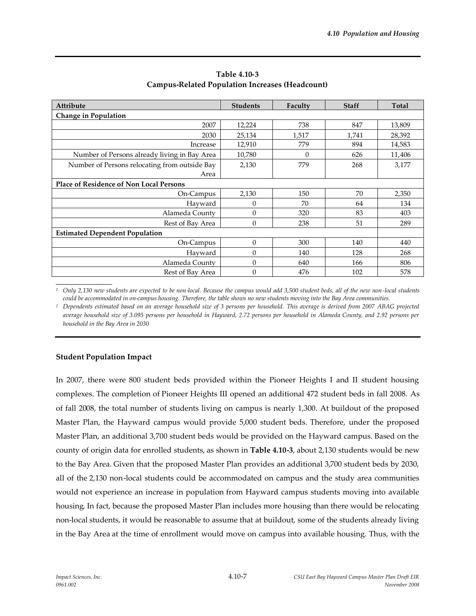| <b>Attribute</b>                               | <b>Students</b>  | Faculty  | <b>Staff</b> | Total  |  |  |  |  |  |
|------------------------------------------------|------------------|----------|--------------|--------|--|--|--|--|--|
| Change in Population                           |                  |          |              |        |  |  |  |  |  |
| 2007                                           | 12,224           | 738      | 847          | 13,809 |  |  |  |  |  |
| 2030                                           | 25,134           | 1,517    | 1,741        | 28,392 |  |  |  |  |  |
| Increase                                       | 12,910           | 779      | 894          | 14,583 |  |  |  |  |  |
| Number of Persons already living in Bay Area   | 10,780           | $\Omega$ | 626          | 11,406 |  |  |  |  |  |
| Number of Persons relocating from outside Bay  | 2,130            | 779      | 268          | 3,177  |  |  |  |  |  |
| Area                                           |                  |          |              |        |  |  |  |  |  |
| <b>Place of Residence of Non Local Persons</b> |                  |          |              |        |  |  |  |  |  |
| On-Campus                                      | 2,130            | 150      | 70           | 2,350  |  |  |  |  |  |
| Hayward                                        | $\theta$         | 70       | 64           | 134    |  |  |  |  |  |
| Alameda County                                 | $\theta$         | 320      | 83           | 403    |  |  |  |  |  |
| Rest of Bay Area                               | $\boldsymbol{0}$ | 238      | 51           | 289    |  |  |  |  |  |
| <b>Estimated Dependent Population</b>          |                  |          |              |        |  |  |  |  |  |
| On-Campus                                      | $\theta$         | 300      | 140          | 440    |  |  |  |  |  |
| Havward                                        | $\theta$         | 140      | 128          | 268    |  |  |  |  |  |
| Alameda County                                 | $\theta$         | 640      | 166          | 806    |  |  |  |  |  |
| Rest of Bay Area                               | $\theta$         | 476      | 102          | 578    |  |  |  |  |  |

**Table 4.10-3 Campus-Related Population Increases (Headcount)**

*<sup>1</sup> Only 2,130 new students are expected to be non-local. Because the campus would add 3,500 student beds, all of the new non-local students could be accommodated in on-campus housing. Therefore, the table shows no new students moving into the Bay Area communities.*

*<sup>2</sup> Dependents estimated based on an average household size of 3 persons per household. This average is derived from 2007 ABAG projected average household size of 3.095 persons per household in Hayward, 2.72 persons per household in Alameda County, and 2.92 persons per household in the Bay Area in 2030*

#### **Student Population Impact**

In 2007, there were 800 student beds provided within the Pioneer Heights I and II student housing complexes. The completion of Pioneer Heights III opened an additional 472 student beds in fall 2008. As of fall 2008, the total number of students living on campus is nearly 1,300. At buildout of the proposed Master Plan, the Hayward campus would provide 5,000 student beds. Therefore, under the proposed Master Plan, an additional 3,700 student beds would be provided on the Hayward campus. Based on the county of origin data for enrolled students, as shown in **Table 4.10-3**, about 2,130 students would be new to the Bay Area. Given that the proposed Master Plan provides an additional 3,700 student beds by 2030, all of the 2,130 non-local students could be accommodated on campus and the study area communities would not experience an increase in population from Hayward campus students moving into available housing. In fact, because the proposed Master Plan includes more housing than there would be relocating non-local students, it would be reasonable to assume that at buildout, some of the students already living in the Bay Area at the time of enrollment would move on campus into available housing. Thus, with the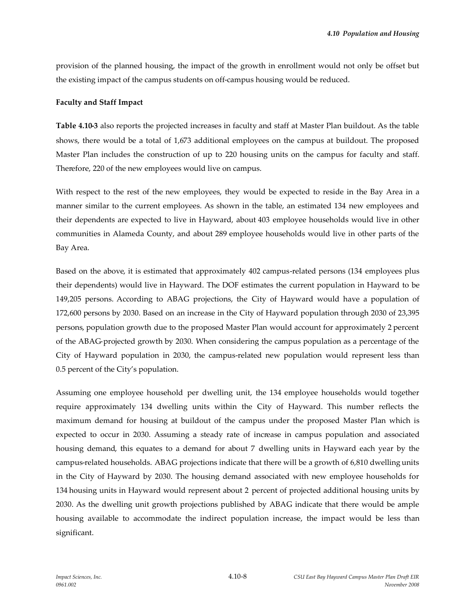provision of the planned housing, the impact of the growth in enrollment would not only be offset but the existing impact of the campus students on off-campus housing would be reduced.

#### **Faculty and Staff Impact**

**Table 4.10-3** also reports the projected increases in faculty and staff at Master Plan buildout. As the table shows, there would be a total of 1,673 additional employees on the campus at buildout. The proposed Master Plan includes the construction of up to 220 housing units on the campus for faculty and staff. Therefore, 220 of the new employees would live on campus.

With respect to the rest of the new employees, they would be expected to reside in the Bay Area in a manner similar to the current employees. As shown in the table, an estimated 134 new employees and their dependents are expected to live in Hayward, about 403 employee households would live in other communities in Alameda County, and about 289 employee households would live in other parts of the Bay Area.

Based on the above, it is estimated that approximately 402 campus-related persons (134 employees plus their dependents) would live in Hayward. The DOF estimates the current population in Hayward to be 149,205 persons. According to ABAG projections, the City of Hayward would have a population of 172,600 persons by 2030. Based on an increase in the City of Hayward population through 2030 of 23,395 persons, population growth due to the proposed Master Plan would account for approximately 2 percent of the ABAG-projected growth by 2030. When considering the campus population as a percentage of the City of Hayward population in 2030, the campus-related new population would represent less than 0.5 percent of the City's population.

Assuming one employee household per dwelling unit, the 134 employee households would together require approximately 134 dwelling units within the City of Hayward. This number reflects the maximum demand for housing at buildout of the campus under the proposed Master Plan which is expected to occur in 2030. Assuming a steady rate of increase in campus population and associated housing demand, this equates to a demand for about 7 dwelling units in Hayward each year by the campus-related households. ABAG projections indicate that there will be a growth of 6,810 dwelling units in the City of Hayward by 2030. The housing demand associated with new employee households for 134 housing units in Hayward would represent about 2 percent of projected additional housing units by 2030. As the dwelling unit growth projections published by ABAG indicate that there would be ample housing available to accommodate the indirect population increase, the impact would be less than significant.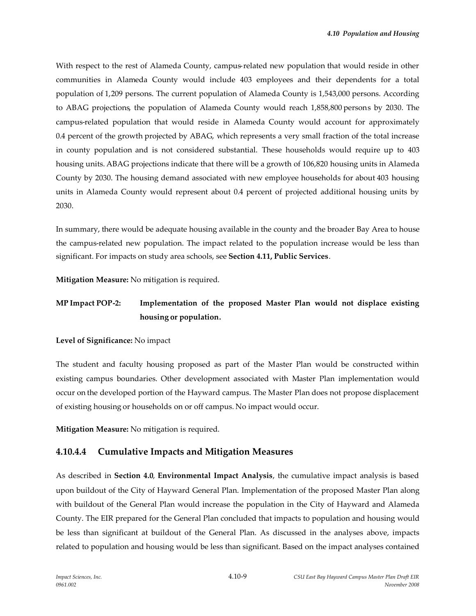With respect to the rest of Alameda County, campus-related new population that would reside in other communities in Alameda County would include 403 employees and their dependents for a total population of 1,209 persons. The current population of Alameda County is 1,543,000 persons. According to ABAG projections, the population of Alameda County would reach 1,858,800 persons by 2030. The campus-related population that would reside in Alameda County would account for approximately 0.4 percent of the growth projected by ABAG, which represents a very small fraction of the total increase in county population and is not considered substantial. These households would require up to 403 housing units. ABAG projections indicate that there will be a growth of 106,820 housing units in Alameda County by 2030. The housing demand associated with new employee households for about 403 housing units in Alameda County would represent about 0.4 percent of projected additional housing units by 2030.

In summary, there would be adequate housing available in the county and the broader Bay Area to house the campus-related new population. The impact related to the population increase would be less than significant. For impacts on study area schools, see **Section 4.11, Public Services**.

**Mitigation Measure:** No mitigation is required.

# **MP Impact POP-2: Implementation of the proposed Master Plan would not displace existing housing or population.**

**Level of Significance:** No impact

The student and faculty housing proposed as part of the Master Plan would be constructed within existing campus boundaries. Other development associated with Master Plan implementation would occur on the developed portion of the Hayward campus. The Master Plan does not propose displacement of existing housing or households on or off campus. No impact would occur.

**Mitigation Measure:** No mitigation is required.

## **4.10.4.4 Cumulative Impacts and Mitigation Measures**

As described in **Section 4.0**, **Environmental Impact Analysis**, the cumulative impact analysis is based upon buildout of the City of Hayward General Plan. Implementation of the proposed Master Plan along with buildout of the General Plan would increase the population in the City of Hayward and Alameda County. The EIR prepared for the General Plan concluded that impacts to population and housing would be less than significant at buildout of the General Plan. As discussed in the analyses above, impacts related to population and housing would be less than significant. Based on the impact analyses contained